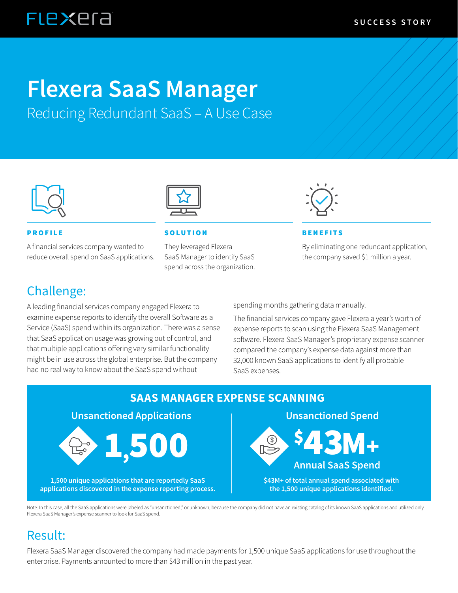## **FLEXEra**

# **Flexera SaaS Manager**

Reducing Redundant SaaS – A Use Case



A financial services company wanted to reduce overall spend on SaaS applications.



#### PROFILE SOLUTION BENEFITS

They leveraged Flexera SaaS Manager to identify SaaS spend across the organization.



By eliminating one redundant application, the company saved \$1 million a year.

#### Challenge:

A leading financial services company engaged Flexera to examine expense reports to identify the overall Software as a Service (SaaS) spend within its organization. There was a sense that SaaS application usage was growing out of control, and that multiple applications offering very similar functionality might be in use across the global enterprise. But the company had no real way to know about the SaaS spend without

spending months gathering data manually.

The financial services company gave Flexera a year's worth of expense reports to scan using the Flexera SaaS Management software. Flexera SaaS Manager's proprietary expense scanner compared the company's expense data against more than 32,000 known SaaS applications to identify all probable SaaS expenses.



Note: In this case, all the SaaS applications were labeled as "unsanctioned," or unknown, because the company did not have an existing catalog of its known SaaS applications and utilized only Flexera SaaS Manager's expense scanner to look for SaaS spend.

### Result:

Flexera SaaS Manager discovered the company had made payments for 1,500 unique SaaS applications for use throughout the enterprise. Payments amounted to more than \$43 million in the past year.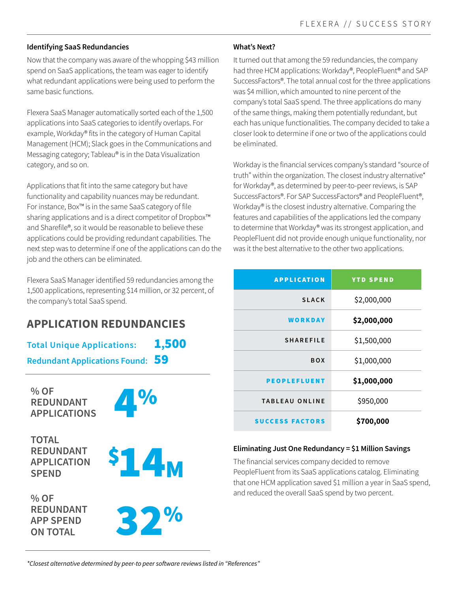#### **Identifying SaaS Redundancies**

Now that the company was aware of the whopping \$43 million spend on SaaS applications, the team was eager to identify what redundant applications were being used to perform the same basic functions.

Flexera SaaS Manager automatically sorted each of the 1,500 applications into SaaS categories to identify overlaps. For example, Workday® fits in the category of Human Capital Management (HCM); Slack goes in the Communications and Messaging category; Tableau® is in the Data Visualization category, and so on.

Applications that fit into the same category but have functionality and capability nuances may be redundant. For instance, Box™ is in the same SaaS category of file sharing applications and is a direct competitor of Dropbox™ and Sharefile®, so it would be reasonable to believe these applications could be providing redundant capabilities. The next step was to determine if one of the applications can do the job and the others can be eliminated.

Flexera SaaS Manager identified 59 redundancies among the 1,500 applications, representing \$14 million, or 32 percent, of the company's total SaaS spend.

#### **APPLICATION REDUNDANCIES**

**Total Unique Applications:** 1,500 **Redundant Applications Found:** 59

**% OF REDUNDANT**  % OF<br>REDUNDANT<br>APPLICATIONS

**TOTAL REDUNDANT APPLICATION SPEND**

**% OF REDUNDANT APP SPEND** 





**APP SPEND<br>
ON TOTAL** 

#### **What's Next?**

It turned out that among the 59 redundancies, the company had three HCM applications: Workday®, PeopleFluent® and SAP SuccessFactors®. The total annual cost for the three applications was \$4 million, which amounted to nine percent of the company's total SaaS spend. The three applications do many of the same things, making them potentially redundant, but each has unique functionalities. The company decided to take a closer look to determine if one or two of the applications could be eliminated.

Workday is the financial services company's standard "source of truth" within the organization. The closest industry alternative\* for Workday®, as determined by peer-to-peer reviews, is SAP SuccessFactors®. For SAP SuccessFactors® and PeopleFluent®, Workday® is the closest industry alternative. Comparing the features and capabilities of the applications led the company to determine that Workday® was its strongest application, and PeopleFluent did not provide enough unique functionality, nor was it the best alternative to the other two applications.

| <b>APPLICATION</b>     | <b>YTD SPEND</b> |  |
|------------------------|------------------|--|
| <b>SLACK</b>           | \$2,000,000      |  |
| WORKDAY                | \$2,000,000      |  |
| <b>SHAREFILE</b>       | \$1,500,000      |  |
| <b>BOX</b>             | \$1,000,000      |  |
| <b>PEOPLEFLUENT</b>    | \$1,000,000      |  |
| <b>TABLEAU ONLINE</b>  | \$950,000        |  |
| <b>SUCCESS FACTORS</b> | \$700,000        |  |

#### **Eliminating Just One Redundancy = \$1 Million Savings**

The financial services company decided to remove PeopleFluent from its SaaS applications catalog. Eliminating that one HCM application saved \$1 million a year in SaaS spend, and reduced the overall SaaS spend by two percent.

*\*Closest alternative determined by peer-to peer software reviews listed in "References"*